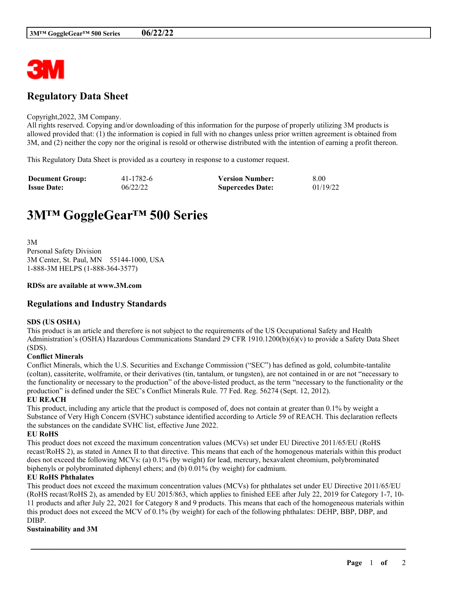

# **Regulatory Data Sheet**

#### Copyright,2022, 3M Company.

All rights reserved. Copying and/or downloading of this information for the purpose of properly utilizing 3M products is allowed provided that: (1) the information is copied in full with no changes unless prior written agreement is obtained from 3M, and (2) neither the copy nor the original is resold or otherwise distributed with the intention of earning a profit thereon.

This Regulatory Data Sheet is provided as a courtesy in response to a customer request.

| <b>Document Group:</b> | 41-1782-6 | <b>Version Number:</b>  | 8.00     |
|------------------------|-----------|-------------------------|----------|
| <b>Issue Date:</b>     | 06/22/22  | <b>Supercedes Date:</b> | 01/19/22 |

# **3M™ GoggleGear™ 500 Series**

3M Personal Safety Division 3M Center, St. Paul, MN 55144-1000, USA 1-888-3M HELPS (1-888-364-3577)

#### **RDSs are available at www.3M.com**

### **Regulations and Industry Standards**

#### **SDS (US OSHA)**

This product is an article and therefore is not subject to the requirements of the US Occupational Safety and Health Administration's (OSHA) Hazardous Communications Standard 29 CFR 1910.1200(b)(6)(v) to provide a Safety Data Sheet (SDS).

#### **Conflict Minerals**

Conflict Minerals, which the U.S. Securities and Exchange Commission ("SEC") has defined as gold, columbite-tantalite (coltan), cassiterite, wolframite, or their derivatives (tin, tantalum, or tungsten), are not contained in or are not "necessary to the functionality or necessary to the production" of the above-listed product, as the term "necessary to the functionality or the production" is defined under the SEC's Conflict Minerals Rule. 77 Fed. Reg. 56274 (Sept. 12, 2012).

#### **EU REACH**

This product, including any article that the product is composed of, does not contain at greater than 0.1% by weight a Substance of Very High Concern (SVHC) substance identified according to Article 59 of REACH. This declaration reflects the substances on the candidate SVHC list, effective June 2022.

#### **EU RoHS**

This product does not exceed the maximum concentration values (MCVs) set under EU Directive 2011/65/EU (RoHS recast/RoHS 2), as stated in Annex II to that directive. This means that each of the homogenous materials within this product does not exceed the following MCVs: (a) 0.1% (by weight) for lead, mercury, hexavalent chromium, polybrominated biphenyls or polybrominated diphenyl ethers; and (b) 0.01% (by weight) for cadmium.

#### **EU RoHS Phthalates**

This product does not exceed the maximum concentration values (MCVs) for phthalates set under EU Directive 2011/65/EU (RoHS recast/RoHS 2), as amended by EU 2015/863, which applies to finished EEE after July 22, 2019 for Category 1-7, 10- 11 products and after July 22, 2021 for Category 8 and 9 products. This means that each of the homogeneous materials within this product does not exceed the MCV of 0.1% (by weight) for each of the following phthalates: DEHP, BBP, DBP, and DIBP.

\_\_\_\_\_\_\_\_\_\_\_\_\_\_\_\_\_\_\_\_\_\_\_\_\_\_\_\_\_\_\_\_\_\_\_\_\_\_\_\_\_\_\_\_\_\_\_\_\_\_\_\_\_\_\_\_\_\_\_\_\_\_\_\_\_\_\_\_\_\_\_\_\_\_\_\_\_\_\_\_\_\_\_\_\_\_\_\_\_\_

#### **Sustainability and 3M**